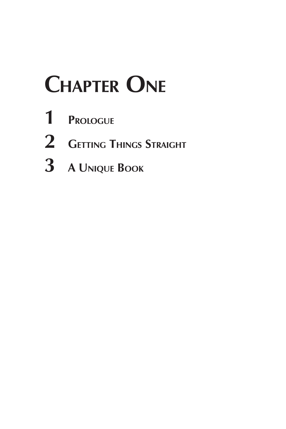# **Chapter One**

- **Prologue**
- **Getting Things Straight**
- **A Unique Book**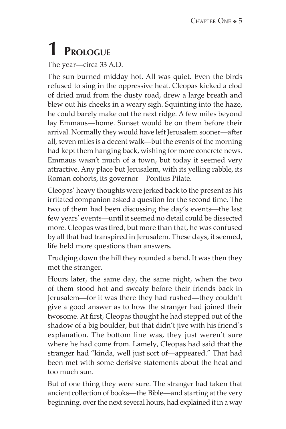# **PROLOGUE**

The year—circa 33 A.D.

The sun burned midday hot. All was quiet. Even the birds refused to sing in the oppressive heat. Cleopas kicked a clod of dried mud from the dusty road, drew a large breath and blew out his cheeks in a weary sigh. Squinting into the haze, he could barely make out the next ridge. A few miles beyond lay Emmaus—home. Sunset would be on them before their arrival. Normally they would have left Jerusalem sooner—after all, seven miles is a decent walk—but the events of the morning had kept them hanging back, wishing for more concrete news. Emmaus wasn't much of a town, but today it seemed very attractive. Any place but Jerusalem, with its yelling rabble, its Roman cohorts, its governor—Pontius Pilate.

Cleopas' heavy thoughts were jerked back to the present as his irritated companion asked a question for the second time. The two of them had been discussing the day's events—the last few years' events—until it seemed no detail could be dissected more. Cleopas was tired, but more than that, he was confused by all that had transpired in Jerusalem. These days, it seemed, life held more questions than answers.

Trudging down the hill they rounded a bend. It was then they met the stranger.

Hours later, the same day, the same night, when the two of them stood hot and sweaty before their friends back in Jerusalem—for it was there they had rushed—they couldn't give a good answer as to how the stranger had joined their twosome. At first, Cleopas thought he had stepped out of the shadow of a big boulder, but that didn't jive with his friend's explanation. The bottom line was, they just weren't sure where he had come from. Lamely, Cleopas had said that the stranger had "kinda, well just sort of—appeared." That had been met with some derisive statements about the heat and too much sun.

But of one thing they were sure. The stranger had taken that ancient collection of books—the Bible—and starting at the very beginning, over the next several hours, had explained it in a way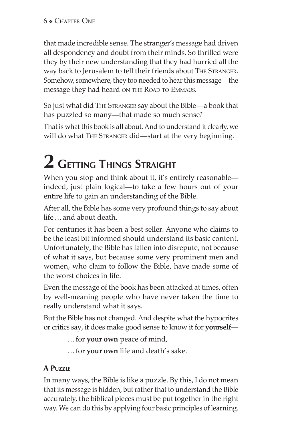that made incredible sense. The stranger's message had driven all despondency and doubt from their minds. So thrilled were they by their new understanding that they had hurried all the way back to Jerusalem to tell their friends about The Stranger. Somehow, somewhere, they too needed to hear this message—the message they had heard ON THE ROAD TO EMMAUS.

So just what did The Stranger say about the Bible—a book that has puzzled so many—that made so much sense?

That is what this book is all about. And to understand it clearly, we will do what THE STRANGER did—start at the very beginning.

# **2 Getting Things Straight**

When you stop and think about it, it's entirely reasonable indeed, just plain logical—to take a few hours out of your entire life to gain an understanding of the Bible.

After all, the Bible has some very profound things to say about life…and about death.

For centuries it has been a best seller. Anyone who claims to be the least bit informed should understand its basic content. Unfortunately, the Bible has fallen into disrepute, not because of what it says, but because some very prominent men and women, who claim to follow the Bible, have made some of the worst choices in life.

Even the message of the book has been attacked at times, often by well-meaning people who have never taken the time to really understand what it says.

But the Bible has not changed. And despite what the hypocrites or critics say, it does make good sense to know it for **yourself—**

…for **your own** peace of mind,

…for **your own** life and death's sake.

### A Puzzle

In many ways, the Bible is like a puzzle. By this, I do not mean that its message is hidden, but rather that to understand the Bible accurately, the biblical pieces must be put together in the right way. We can do this by applying four basic principles of learning.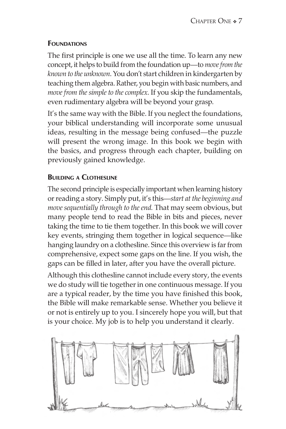#### **FOUNDATIONS**

The first principle is one we use all the time. To learn any new concept, it helps to build from the foundation up—to *move from the known to the unknown*. You don't start children in kindergarten by teaching them algebra. Rather, you begin with basic numbers, and *move from the simple to the complex*. If you skip the fundamentals, even rudimentary algebra will be beyond your grasp.

It's the same way with the Bible. If you neglect the foundations, your biblical understanding will incorporate some unusual ideas, resulting in the message being confused—the puzzle will present the wrong image. In this book we begin with the basics, and progress through each chapter, building on previously gained knowledge.

#### **BUILDING A CLOTHESLINE**

The second principle is especially important when learning history or reading a story. Simply put, it's this—*start at the beginning and move sequentially through to the end.* That may seem obvious, but many people tend to read the Bible in bits and pieces, never taking the time to tie them together. In this book we will cover key events, stringing them together in logical sequence—like hanging laundry on a clothesline. Since this overview is far from comprehensive, expect some gaps on the line. If you wish, the gaps can be filled in later, after you have the overall picture.

Although this clothesline cannot include every story, the events we do study will tie together in one continuous message. If you are a typical reader, by the time you have finished this book, the Bible will make remarkable sense. Whether you believe it or not is entirely up to you. I sincerely hope you will, but that is your choice. My job is to help you understand it clearly.

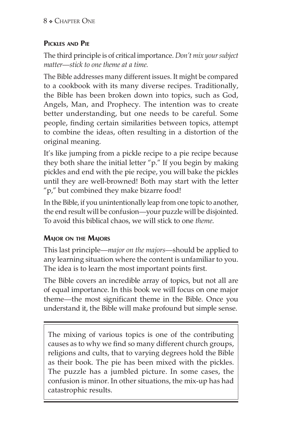### Pickles and Pie

The third principle is of critical importance. *Don't mix your subject matter—stick to one theme at a time.*

The Bible addresses many different issues. It might be compared to a cookbook with its many diverse recipes. Traditionally, the Bible has been broken down into topics, such as God, Angels, Man, and Prophecy. The intention was to create better understanding, but one needs to be careful. Some people, finding certain similarities between topics, attempt to combine the ideas, often resulting in a distortion of the original meaning.

It's like jumping from a pickle recipe to a pie recipe because they both share the initial letter "p." If you begin by making pickles and end with the pie recipe, you will bake the pickles until they are well-browned! Both may start with the letter "p," but combined they make bizarre food!

In the Bible, if you unintentionally leap from one topic to another, the end result will be confusion—your puzzle will be disjointed. To avoid this biblical chaos, we will stick to one *theme*.

### Major on the Majors

This last principle—*major on the majors*—should be applied to any learning situation where the content is unfamiliar to you. The idea is to learn the most important points first.

The Bible covers an incredible array of topics, but not all are of equal importance. In this book we will focus on one major theme—the most significant theme in the Bible. Once you understand it, the Bible will make profound but simple sense.

The mixing of various topics is one of the contributing causes as to why we find so many different church groups, religions and cults, that to varying degrees hold the Bible as their book. The pie has been mixed with the pickles. The puzzle has a jumbled picture. In some cases, the confusion is minor. In other situations, the mix-up has had catastrophic results.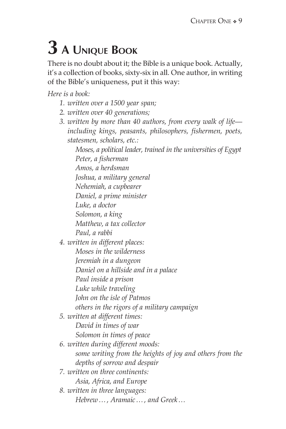# **3 A Unique Book**

There is no doubt about it; the Bible is a unique book. Actually, it's a collection of books, sixty-six in all. One author, in writing of the Bible's uniqueness, put it this way:

*Here is a book:*

- *1. written over a 1500 year span;*
- *2. written over 40 generations;*
- *3. written by more than 40 authors, from every walk of life including kings, peasants, philosophers, fishermen, poets, statesmen, scholars, etc.:*

*Moses, a political leader, trained in the universities of Egypt Peter, a fisherman*

 *Amos, a herdsman*

 *Joshua, a military general*

 *Nehemiah, a cupbearer*

 *Daniel, a prime minister*

 *Luke, a doctor*

 *Solomon, a king*

 *Matthew, a tax collector Paul, a rabbi*

*4. written in different places: Moses in the wilderness Jeremiah in a dungeon*

 *Daniel on a hillside and in a palace*

- *Paul inside a prison*
- *Luke while traveling*

 *John on the isle of Patmos*

 *others in the rigors of a military campaign*

- *5. written at different times:*
	- *David in times of war Solomon in times of peace*
- *6. written during different moods: some writing from the heights of joy and others from the depths of sorrow and despair*
- *7. written on three continents: Asia, Africa, and Europe*
- *8. written in three languages: Hebrew…, Aramaic…, and Greek…*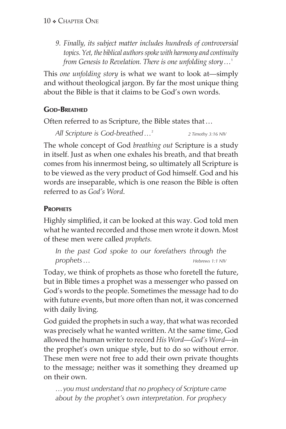*9. Finally, its subject matter includes hundreds of controversial topics. Yet, the biblical authors spoke with harmony and continuity from Genesis to Revelation. There is one unfolding story…*<sup>1</sup>

This *one unfolding story* is what we want to look at—simply and without theological jargon. By far the most unique thing about the Bible is that it claims to be God's own words.

#### GOD-BREATHED

Often referred to as Scripture, the Bible states that…

*All Scripture is God-breathed…*<sup>2</sup> *2 Timothy 3:16 NIV*

The whole concept of God *breathing out* Scripture is a study in itself. Just as when one exhales his breath, and that breath comes from his innermost being, so ultimately all Scripture is to be viewed as the very product of God himself. God and his words are inseparable, which is one reason the Bible is often referred to as *God's Word*.

#### **PROPHETS**

Highly simplified, it can be looked at this way. God told men what he wanted recorded and those men wrote it down. Most of these men were called *prophets.* 

*In the past God spoke to our forefathers through the prophets… Hebrews 1:1 NIV*

Today, we think of prophets as those who foretell the future, but in Bible times a prophet was a messenger who passed on God's words to the people. Sometimes the message had to do with future events, but more often than not, it was concerned with daily living.

God guided the prophets in such a way, that what was recorded was precisely what he wanted written. At the same time, God allowed the human writer to record *His Word—God's Word—*in the prophet's own unique style, but to do so without error. These men were not free to add their own private thoughts to the message; neither was it something they dreamed up on their own.

*…you must understand that no prophecy of Scripture came about by the prophet's own interpretation. For prophecy*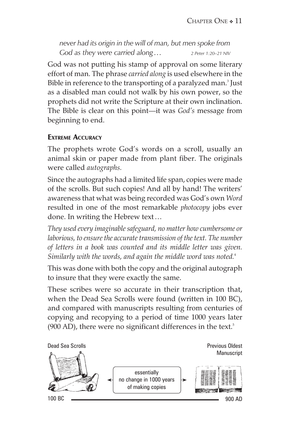*never had its origin in the will of man, but men spoke from God as they were carried along… 2 Peter 1:20–21 NIV*

God was not putting his stamp of approval on some literary effort of man. The phrase *carried along* is used elsewhere in the Bible in reference to the transporting of a paralyzed man. $^3$  Just as a disabled man could not walk by his own power, so the prophets did not write the Scripture at their own inclination. The Bible is clear on this point—it was *God's* message from beginning to end.

#### Extreme Accuracy

The prophets wrote God's words on a scroll, usually an animal skin or paper made from plant fiber. The originals were called *autographs.*

Since the autographs had a limited life span, copies were made of the scrolls. But such copies! And all by hand! The writers' awareness that what was being recorded was God's own *Word* resulted in one of the most remarkable *photocopy* jobs ever done. In writing the Hebrew text…

*They used every imaginable safeguard, no matter how cumbersome or laborious, to ensure the accurate transmission of the text. The number of letters in a book was counted and its middle letter was given. Similarly with the words, and again the middle word was noted.*<sup>4</sup>

This was done with both the copy and the original autograph to insure that they were exactly the same.

These scribes were so accurate in their transcription that, when the Dead Sea Scrolls were found (written in 100 BC), and compared with manuscripts resulting from centuries of copying and recopying to a period of time 1000 years later (900 AD), there were no significant differences in the text.<sup>5</sup>

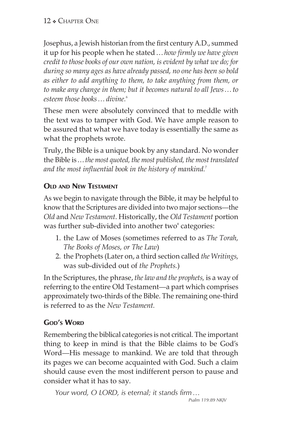Josephus, a Jewish historian from the first century A.D., summed it up for his people when he stated…*how firmly we have given credit to those books of our own nation, is evident by what we do; for during so many ages as have already passed, no one has been so bold as either to add anything to them, to take anything from them, or to make any change in them; but it becomes natural to all Jews…to esteem those books…divine.*<sup>6</sup>

These men were absolutely convinced that to meddle with the text was to tamper with God. We have ample reason to be assured that what we have today is essentially the same as what the prophets wrote.

Truly, the Bible is a unique book by any standard. No wonder the Bible is…*the most quoted, the most published, the most translated and the most influential book in the history of mankind.*<sup>7</sup>

### Old and New Testament

As we begin to navigate through the Bible, it may be helpful to know that the Scriptures are divided into two major sections—the *Old* and *New Testament*. Historically, the *Old Testament* portion was further sub-divided into another two<sup>8</sup> categories:

- 1. the Law of Moses (sometimes referred to as *The Torah, The Books of Moses, or The Law*)
- 2. the Prophets (Later on, a third section called *the Writings,* was sub-divided out of *the Prophets.*)

In the Scriptures, the phrase, *the law and the prophets,* is a way of referring to the entire Old Testament—a part which comprises approximately two-thirds of the Bible. The remaining one-third is referred to as the *New Testament.*

### GOD'S WORD

Remembering the biblical categories is not critical. The important thing to keep in mind is that the Bible claims to be God's Word—His message to mankind. We are told that through its pages we can become acquainted with God. Such a claim should cause even the most indifferent person to pause and consider what it has to say.

*Your word, O LORD, is eternal; it stands firm…*